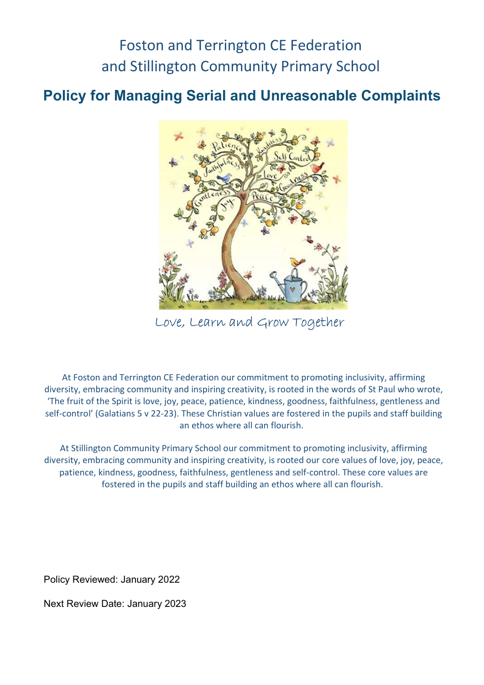## Foston and Terrington CE Federation and Stillington Community Primary School

## Policy for Managing Serial and Unreasonable Complaints



Love, Learn and Grow Together

At Foston and Terrington CE Federation our commitment to promoting inclusivity, affirming diversity, embracing community and inspiring creativity, is rooted in the words of St Paul who wrote, 'The fruit of the Spirit is love, joy, peace, patience, kindness, goodness, faithfulness, gentleness and self-control' (Galatians 5 v 22-23). These Christian values are fostered in the pupils and staff building an ethos where all can flourish.

At Stillington Community Primary School our commitment to promoting inclusivity, affirming diversity, embracing community and inspiring creativity, is rooted our core values of love, joy, peace, patience, kindness, goodness, faithfulness, gentleness and self-control. These core values are fostered in the pupils and staff building an ethos where all can flourish.

Policy Reviewed: January 2022

Next Review Date: January 2023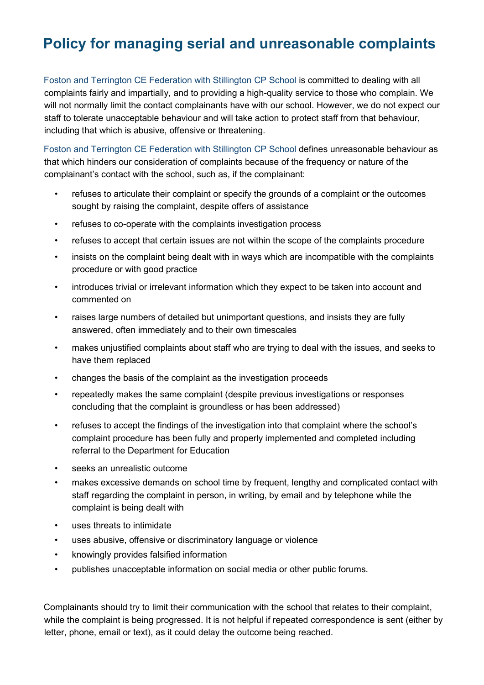## Policy for managing serial and unreasonable complaints

Foston and Terrington CE Federation with Stillington CP School is committed to dealing with all complaints fairly and impartially, and to providing a high-quality service to those who complain. We will not normally limit the contact complainants have with our school. However, we do not expect our staff to tolerate unacceptable behaviour and will take action to protect staff from that behaviour, including that which is abusive, offensive or threatening.

Foston and Terrington CE Federation with Stillington CP School defines unreasonable behaviour as that which hinders our consideration of complaints because of the frequency or nature of the complainant's contact with the school, such as, if the complainant:

- refuses to articulate their complaint or specify the grounds of a complaint or the outcomes sought by raising the complaint, despite offers of assistance
- refuses to co-operate with the complaints investigation process
- refuses to accept that certain issues are not within the scope of the complaints procedure
- insists on the complaint being dealt with in ways which are incompatible with the complaints procedure or with good practice
- introduces trivial or irrelevant information which they expect to be taken into account and commented on
- raises large numbers of detailed but unimportant questions, and insists they are fully answered, often immediately and to their own timescales
- makes unjustified complaints about staff who are trying to deal with the issues, and seeks to have them replaced
- changes the basis of the complaint as the investigation proceeds
- repeatedly makes the same complaint (despite previous investigations or responses concluding that the complaint is groundless or has been addressed)
- refuses to accept the findings of the investigation into that complaint where the school's complaint procedure has been fully and properly implemented and completed including referral to the Department for Education
- seeks an unrealistic outcome
- makes excessive demands on school time by frequent, lengthy and complicated contact with staff regarding the complaint in person, in writing, by email and by telephone while the complaint is being dealt with
- uses threats to intimidate
- uses abusive, offensive or discriminatory language or violence
- knowingly provides falsified information
- publishes unacceptable information on social media or other public forums.

Complainants should try to limit their communication with the school that relates to their complaint, while the complaint is being progressed. It is not helpful if repeated correspondence is sent (either by letter, phone, email or text), as it could delay the outcome being reached.